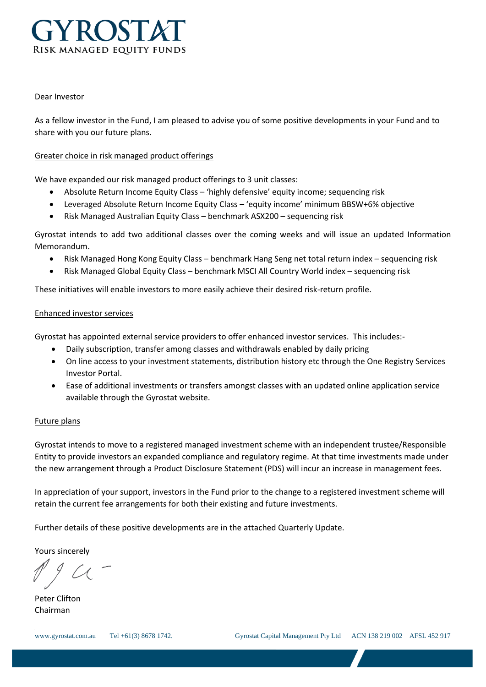

#### Dear Investor

As a fellow investor in the Fund, I am pleased to advise you of some positive developments in your Fund and to share with you our future plans.

# Greater choice in risk managed product offerings

We have expanded our risk managed product offerings to 3 unit classes:

- Absolute Return Income Equity Class 'highly defensive' equity income; sequencing risk
- Leveraged Absolute Return Income Equity Class 'equity income' minimum BBSW+6% objective
- Risk Managed Australian Equity Class benchmark ASX200 sequencing risk

Gyrostat intends to add two additional classes over the coming weeks and will issue an updated Information Memorandum.

- Risk Managed Hong Kong Equity Class benchmark Hang Seng net total return index sequencing risk
- Risk Managed Global Equity Class benchmark MSCI All Country World index sequencing risk

These initiatives will enable investors to more easily achieve their desired risk-return profile.

#### Enhanced investor services

Gyrostat has appointed external service providers to offer enhanced investor services. This includes:-

- Daily subscription, transfer among classes and withdrawals enabled by daily pricing
- On line access to your investment statements, distribution history etc through the One Registry Services Investor Portal.
- Ease of additional investments or transfers amongst classes with an updated online application service available through the Gyrostat website.

# Future plans

Gyrostat intends to move to a registered managed investment scheme with an independent trustee/Responsible Entity to provide investors an expanded compliance and regulatory regime. At that time investments made under the new arrangement through a Product Disclosure Statement (PDS) will incur an increase in management fees.

In appreciation of your support, investors in the Fund prior to the change to a registered investment scheme will retain the current fee arrangements for both their existing and future investments.

Further details of these positive developments are in the attached Quarterly Update.

Yours sincerely

Peter Clifton Chairman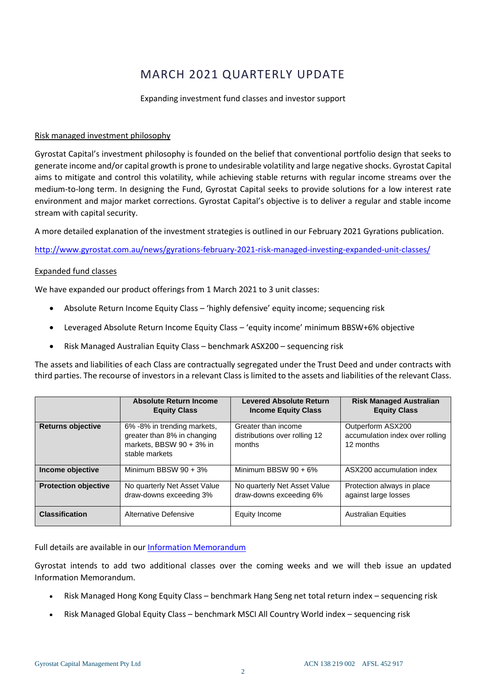# MARCH 2021 QUARTERLY UPDATE

#### Expanding investment fund classes and investor support

### Risk managed investment philosophy

Gyrostat Capital's investment philosophy is founded on the belief that conventional portfolio design that seeks to generate income and/or capital growth is prone to undesirable volatility and large negative shocks. Gyrostat Capital aims to mitigate and control this volatility, while achieving stable returns with regular income streams over the medium-to-long term. In designing the Fund, Gyrostat Capital seeks to provide solutions for a low interest rate environment and major market corrections. Gyrostat Capital's objective is to deliver a regular and stable income stream with capital security.

A more detailed explanation of the investment strategies is outlined in our February 2021 Gyrations publication.

<http://www.gyrostat.com.au/news/gyrations-february-2021-risk-managed-investing-expanded-unit-classes/>

# Expanded fund classes

We have expanded our product offerings from 1 March 2021 to 3 unit classes:

- Absolute Return Income Equity Class 'highly defensive' equity income; sequencing risk
- Leveraged Absolute Return Income Equity Class 'equity income' minimum BBSW+6% objective
- Risk Managed Australian Equity Class benchmark ASX200 sequencing risk

The assets and liabilities of each Class are contractually segregated under the Trust Deed and under contracts with third parties. The recourse of investors in a relevant Class is limited to the assets and liabilities of the relevant Class.

|                             | <b>Absolute Return Income</b><br><b>Equity Class</b>                                                     | <b>Levered Absolute Return</b><br><b>Income Equity Class</b>   | <b>Risk Managed Australian</b><br><b>Equity Class</b>             |
|-----------------------------|----------------------------------------------------------------------------------------------------------|----------------------------------------------------------------|-------------------------------------------------------------------|
| <b>Returns objective</b>    | 6% -8% in trending markets,<br>greater than 8% in changing<br>markets, BBSW 90 + 3% in<br>stable markets | Greater than income<br>distributions over rolling 12<br>months | Outperform ASX200<br>accumulation index over rolling<br>12 months |
| Income objective            | Minimum BBSW $90 + 3\%$                                                                                  | Minimum BBSW $90 + 6\%$                                        | ASX200 accumulation index                                         |
| <b>Protection objective</b> | No quarterly Net Asset Value<br>draw-downs exceeding 3%                                                  | No quarterly Net Asset Value<br>draw-downs exceeding 6%        | Protection always in place<br>against large losses                |
| <b>Classification</b>       | Alternative Defensive                                                                                    | Equity Income                                                  | <b>Australian Equities</b>                                        |

Full details are available in our [Information Memorandum](https://www.gyrostat.com.au/assets/Uploads/2021-03-01-Gyrostat-Risk-Managed-Equity-Fund-IM-Approved-Final.pdf)

Gyrostat intends to add two additional classes over the coming weeks and we will theb issue an updated Information Memorandum.

- Risk Managed Hong Kong Equity Class benchmark Hang Seng net total return index sequencing risk
- Risk Managed Global Equity Class benchmark MSCI All Country World index sequencing risk